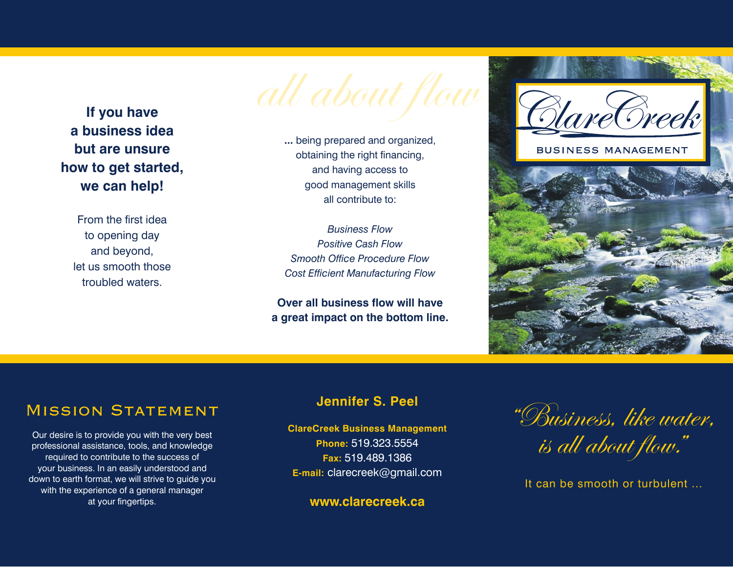

**a business idea but are unsure how to get started, we can help!** 

From the first idea to opening day and beyond, let us smooth those troubled waters.

**...** being prepared and organized, obtaining the right financing, and having access to good management skills all contribute to:

*Business Flow Positive Cash Flow Smooth Office Procedure Flow Cost Efficient Manufacturing Flow*

**Over all business flow will have a great impact on the bottom line.**



# MISSION STATEMENT

Our desire is to provide you with the very best professional assistance, tools, and knowledge required to contribute to the success of your business. In an easily understood and down to earth format, we will strive to guide you with the experience of a general manager at your fingertips.

## **Jennifer S. Peel**

**ClareCreek Business Management**

**Phone:** 519.323.5554 **Fax:** 519.489.1386 **E-mail:** clarecreek@gmail.com

**www.clarecreek.ca**

"Business, like water, is all about flow."

It can be smooth or turbulent ...